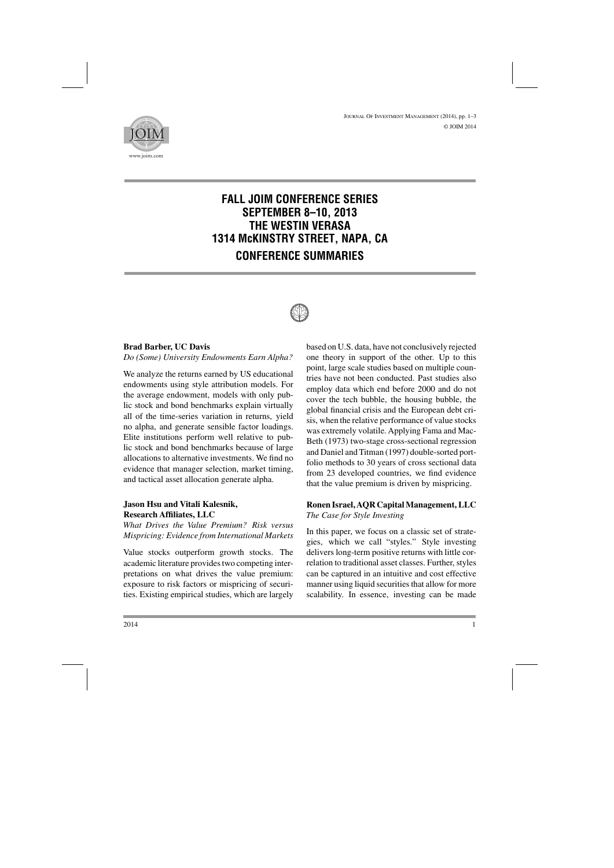

# **FALL JOIM CONFERENCE SERIES SEPTEMBER 8–10, 2013 THE WESTIN VERASA 1314 McKINSTRY STREET, NAPA, CA CONFERENCE SUMMARIES**



#### **Brad Barber, UC Davis**

*Do (Some) University Endowments Earn Alpha?*

We analyze the returns earned by US educational endowments using style attribution models. For the average endowment, models with only public stock and bond benchmarks explain virtually all of the time-series variation in returns, yield no alpha, and generate sensible factor loadings. Elite institutions perform well relative to public stock and bond benchmarks because of large allocations to alternative investments. We find no evidence that manager selection, market timing, and tactical asset allocation generate alpha.

#### **Jason Hsu and Vitali Kalesnik, Research Affiliates, LLC**

*What Drives the Value Premium? Risk versus Mispricing: Evidence from International Markets*

Value stocks outperform growth stocks. The academic literature provides two competing interpretations on what drives the value premium: exposure to risk factors or mispricing of securities. Existing empirical studies, which are largely based on U.S. data, have not conclusively rejected one theory in support of the other. Up to this point, large scale studies based on multiple countries have not been conducted. Past studies also employ data which end before 2000 and do not cover the tech bubble, the housing bubble, the global financial crisis and the European debt crisis, when the relative performance of value stocks was extremely volatile. Applying Fama and Mac-Beth (1973) two-stage cross-sectional regression and Daniel and Titman (1997) double-sorted portfolio methods to 30 years of cross sectional data from 23 developed countries, we find evidence that the value premium is driven by mispricing.

#### **Ronen Israel, AQR Capital Management, LLC** *The Case for Style Investing*

In this paper, we focus on a classic set of strategies, which we call "styles." Style investing delivers long-term positive returns with little correlation to traditional asset classes. Further, styles can be captured in an intuitive and cost effective manner using liquid securities that allow for more scalability. In essence, investing can be made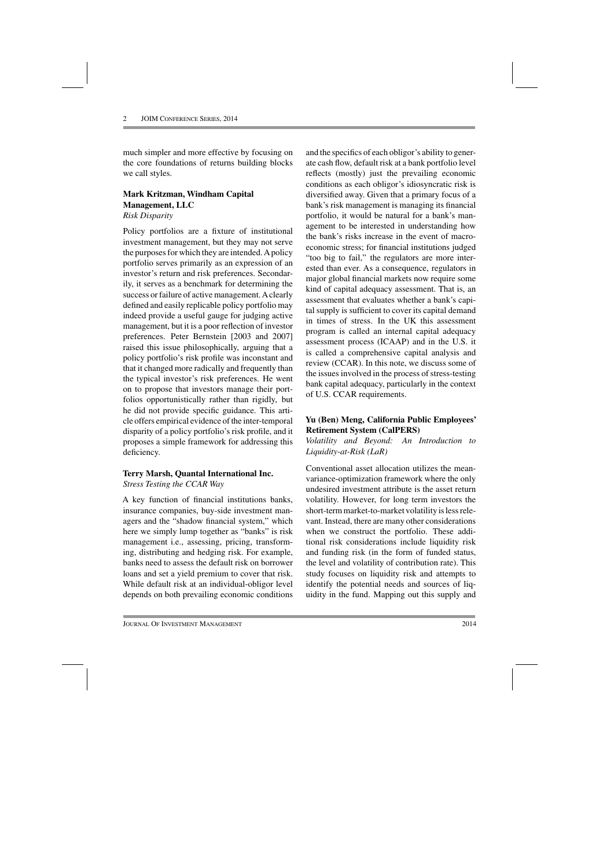much simpler and more effective by focusing on the core foundations of returns building blocks we call styles.

#### **Mark Kritzman, Windham Capital Management, LLC** *Risk Disparity*

Policy portfolios are a fixture of institutional investment management, but they may not serve the purposes for which they are intended. Apolicy portfolio serves primarily as an expression of an investor's return and risk preferences. Secondarily, it serves as a benchmark for determining the success or failure of active management. Aclearly defined and easily replicable policy portfolio may indeed provide a useful gauge for judging active management, but it is a poor reflection of investor preferences. Peter Bernstein [2003 and 2007] raised this issue philosophically, arguing that a policy portfolio's risk profile was inconstant and that it changed more radically and frequently than the typical investor's risk preferences. He went on to propose that investors manage their portfolios opportunistically rather than rigidly, but he did not provide specific guidance. This article offers empirical evidence of the inter-temporal disparity of a policy portfolio's risk profile, and it proposes a simple framework for addressing this deficiency.

## **Terry Marsh, Quantal International Inc.** *Stress Testing the CCAR Way*

A key function of financial institutions banks, insurance companies, buy-side investment managers and the "shadow financial system," which here we simply lump together as "banks" is risk management i.e., assessing, pricing, transforming, distributing and hedging risk. For example, banks need to assess the default risk on borrower loans and set a yield premium to cover that risk. While default risk at an individual-obligor level depends on both prevailing economic conditions and the specifics of each obligor's ability to generate cash flow, default risk at a bank portfolio level reflects (mostly) just the prevailing economic conditions as each obligor's idiosyncratic risk is diversified away. Given that a primary focus of a bank's risk management is managing its financial portfolio, it would be natural for a bank's management to be interested in understanding how the bank's risks increase in the event of macroeconomic stress; for financial institutions judged "too big to fail," the regulators are more interested than ever. As a consequence, regulators in major global financial markets now require some kind of capital adequacy assessment. That is, an assessment that evaluates whether a bank's capital supply is sufficient to cover its capital demand in times of stress. In the UK this assessment program is called an internal capital adequacy assessment process (ICAAP) and in the U.S. it is called a comprehensive capital analysis and review (CCAR). In this note, we discuss some of the issues involved in the process of stress-testing bank capital adequacy, particularly in the context of U.S. CCAR requirements.

## **Yu (Ben) Meng, California Public Employees' Retirement System (CalPERS)**

*Volatility and Beyond: An Introduction to Liquidity-at-Risk (LaR)*

Conventional asset allocation utilizes the meanvariance-optimization framework where the only undesired investment attribute is the asset return volatility. However, for long term investors the short-term market-to-market volatility is less relevant. Instead, there are many other considerations when we construct the portfolio. These additional risk considerations include liquidity risk and funding risk (in the form of funded status, the level and volatility of contribution rate). This study focuses on liquidity risk and attempts to identify the potential needs and sources of liquidity in the fund. Mapping out this supply and